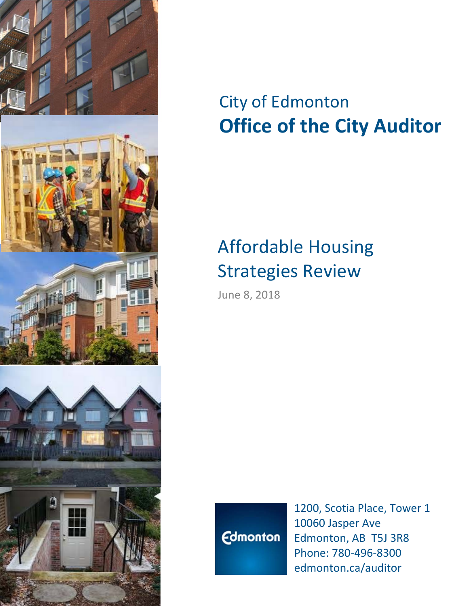

# City of Edmonton **Office of the City Auditor**

# Affordable Housing Strategies Review

June 8, 2018



1200, Scotia Place, Tower 1 10060 Jasper Ave Edmonton, AB T5J 3R8 Phone: 780‐496‐8300 edmonton.ca/auditor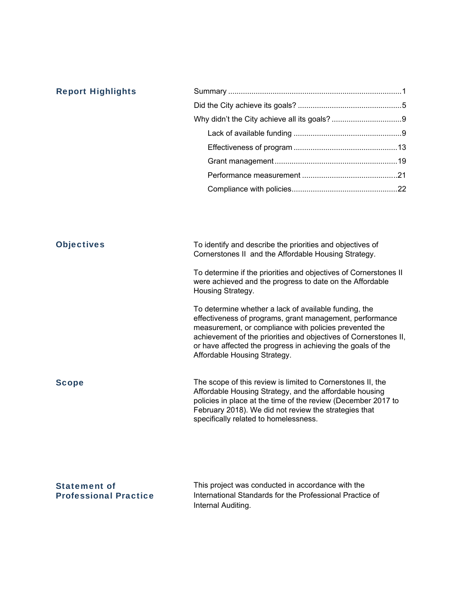| <b>Report Highlights</b> |                                                                                                                                                                                                                                                                                                                                                |
|--------------------------|------------------------------------------------------------------------------------------------------------------------------------------------------------------------------------------------------------------------------------------------------------------------------------------------------------------------------------------------|
|                          |                                                                                                                                                                                                                                                                                                                                                |
|                          |                                                                                                                                                                                                                                                                                                                                                |
|                          |                                                                                                                                                                                                                                                                                                                                                |
|                          |                                                                                                                                                                                                                                                                                                                                                |
|                          |                                                                                                                                                                                                                                                                                                                                                |
|                          |                                                                                                                                                                                                                                                                                                                                                |
|                          |                                                                                                                                                                                                                                                                                                                                                |
|                          |                                                                                                                                                                                                                                                                                                                                                |
| <b>Objectives</b>        | To identify and describe the priorities and objectives of<br>Cornerstones II and the Affordable Housing Strategy.                                                                                                                                                                                                                              |
|                          | To determine if the priorities and objectives of Cornerstones II<br>were achieved and the progress to date on the Affordable<br>Housing Strategy.                                                                                                                                                                                              |
|                          | To determine whether a lack of available funding, the<br>effectiveness of programs, grant management, performance<br>measurement, or compliance with policies prevented the<br>achievement of the priorities and objectives of Cornerstones II,<br>or have affected the progress in achieving the goals of the<br>Affordable Housing Strategy. |
| <b>Scope</b>             | The scope of this review is limited to Cornerstones II, the<br>Affordable Housing Strategy, and the affordable housing<br>policies in place at the time of the review (December 2017 to<br>February 2018). We did not review the strategies that<br>specifically related to homelessness.                                                      |
| <b>Statement of</b>      | This project was conducted in accordance with the                                                                                                                                                                                                                                                                                              |

Professional Practice

International Standards for the Professional Practice of Internal Auditing.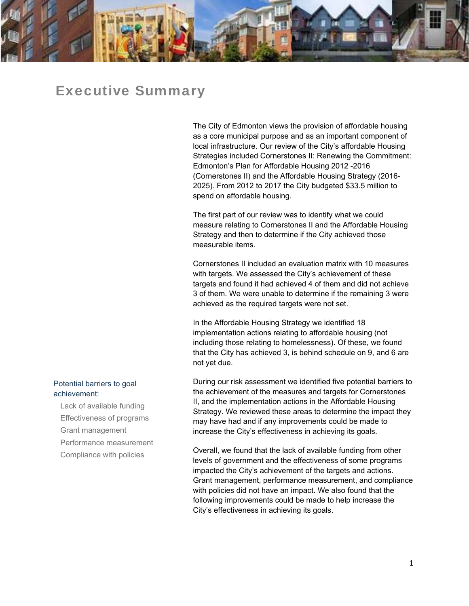

### Executive Summary

The City of Edmonton views the provision of affordable housing as a core municipal purpose and as an important component of local infrastructure. Our review of the City's affordable Housing Strategies included Cornerstones II: Renewing the Commitment: Edmonton's Plan for Affordable Housing 2012 -2016 (Cornerstones II) and the Affordable Housing Strategy (2016- 2025). From 2012 to 2017 the City budgeted \$33.5 million to spend on affordable housing.

The first part of our review was to identify what we could measure relating to Cornerstones II and the Affordable Housing Strategy and then to determine if the City achieved those measurable items.

Cornerstones II included an evaluation matrix with 10 measures with targets. We assessed the City's achievement of these targets and found it had achieved 4 of them and did not achieve 3 of them. We were unable to determine if the remaining 3 were achieved as the required targets were not set.

In the Affordable Housing Strategy we identified 18 implementation actions relating to affordable housing (not including those relating to homelessness). Of these, we found that the City has achieved 3, is behind schedule on 9, and 6 are not yet due.

During our risk assessment we identified five potential barriers to the achievement of the measures and targets for Cornerstones II, and the implementation actions in the Affordable Housing Strategy. We reviewed these areas to determine the impact they may have had and if any improvements could be made to increase the City's effectiveness in achieving its goals.

Overall, we found that the lack of available funding from other levels of government and the effectiveness of some programs impacted the City's achievement of the targets and actions. Grant management, performance measurement, and compliance with policies did not have an impact. We also found that the following improvements could be made to help increase the City's effectiveness in achieving its goals.

#### Potential barriers to goal achievement:

Lack of available funding Effectiveness of programs Grant management Performance measurement Compliance with policies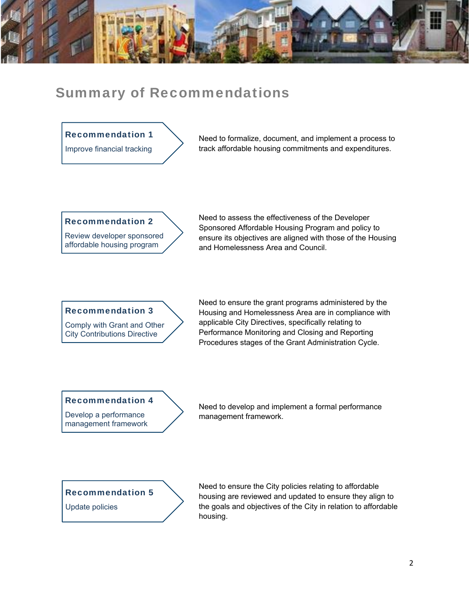

## Summary of Recommendations

#### Recommendation 1

Improve financial tracking

Need to formalize, document, and implement a process to track affordable housing commitments and expenditures.

#### Recommendation 2

Review developer sponsored affordable housing program

Need to assess the effectiveness of the Developer Sponsored Affordable Housing Program and policy to ensure its objectives are aligned with those of the Housing and Homelessness Area and Council.

#### Recommendation 3

Comply with Grant and Other City Contributions Directive

Need to ensure the grant programs administered by the Housing and Homelessness Area are in compliance with applicable City Directives, specifically relating to Performance Monitoring and Closing and Reporting Procedures stages of the Grant Administration Cycle.

#### Recommendation 4

Develop a performance management framework Need to develop and implement a formal performance management framework.

#### Recommendation 5

Update policies

Need to ensure the City policies relating to affordable housing are reviewed and updated to ensure they align to the goals and objectives of the City in relation to affordable housing.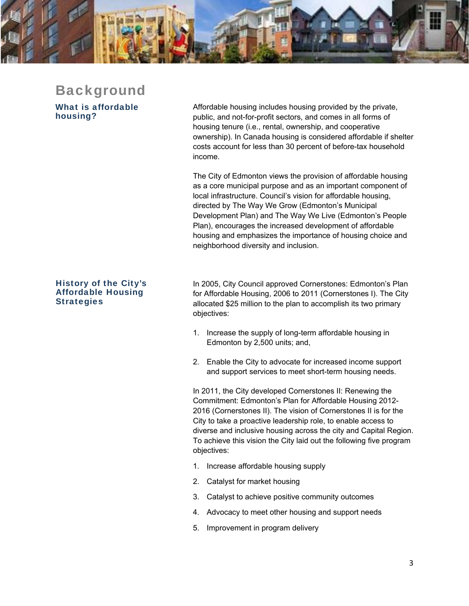

# Background

What is affordable housing?

Affordable housing includes housing provided by the private, public, and not-for-profit sectors, and comes in all forms of housing tenure (i.e., rental, ownership, and cooperative ownership). In Canada housing is considered affordable if shelter costs account for less than 30 percent of before-tax household income.

The City of Edmonton views the provision of affordable housing as a core municipal purpose and as an important component of local infrastructure. Council's vision for affordable housing, directed by The Way We Grow (Edmonton's Municipal Development Plan) and The Way We Live (Edmonton's People Plan), encourages the increased development of affordable housing and emphasizes the importance of housing choice and neighborhood diversity and inclusion.

#### History of the City's Affordable Housing **Strategies**

In 2005, City Council approved Cornerstones: Edmonton's Plan for Affordable Housing, 2006 to 2011 (Cornerstones I). The City allocated \$25 million to the plan to accomplish its two primary objectives:

- 1. Increase the supply of long-term affordable housing in Edmonton by 2,500 units; and,
- 2. Enable the City to advocate for increased income support and support services to meet short-term housing needs.

In 2011, the City developed Cornerstones II: Renewing the Commitment: Edmonton's Plan for Affordable Housing 2012- 2016 (Cornerstones II). The vision of Cornerstones II is for the City to take a proactive leadership role, to enable access to diverse and inclusive housing across the city and Capital Region. To achieve this vision the City laid out the following five program objectives:

- 1. Increase affordable housing supply
- 2. Catalyst for market housing
- 3. Catalyst to achieve positive community outcomes
- 4. Advocacy to meet other housing and support needs
- 5. Improvement in program delivery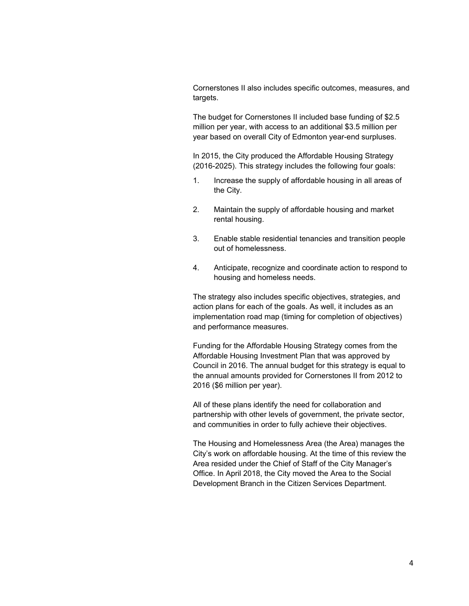Cornerstones II also includes specific outcomes, measures, and targets.

The budget for Cornerstones II included base funding of \$2.5 million per year, with access to an additional \$3.5 million per year based on overall City of Edmonton year-end surpluses.

In 2015, the City produced the Affordable Housing Strategy (2016-2025). This strategy includes the following four goals:

- 1. Increase the supply of affordable housing in all areas of the City.
- 2. Maintain the supply of affordable housing and market rental housing.
- 3. Enable stable residential tenancies and transition people out of homelessness.
- 4. Anticipate, recognize and coordinate action to respond to housing and homeless needs.

The strategy also includes specific objectives, strategies, and action plans for each of the goals. As well, it includes as an implementation road map (timing for completion of objectives) and performance measures.

Funding for the Affordable Housing Strategy comes from the Affordable Housing Investment Plan that was approved by Council in 2016. The annual budget for this strategy is equal to the annual amounts provided for Cornerstones II from 2012 to 2016 (\$6 million per year).

All of these plans identify the need for collaboration and partnership with other levels of government, the private sector, and communities in order to fully achieve their objectives.

The Housing and Homelessness Area (the Area) manages the City's work on affordable housing. At the time of this review the Area resided under the Chief of Staff of the City Manager's Office. In April 2018, the City moved the Area to the Social Development Branch in the Citizen Services Department.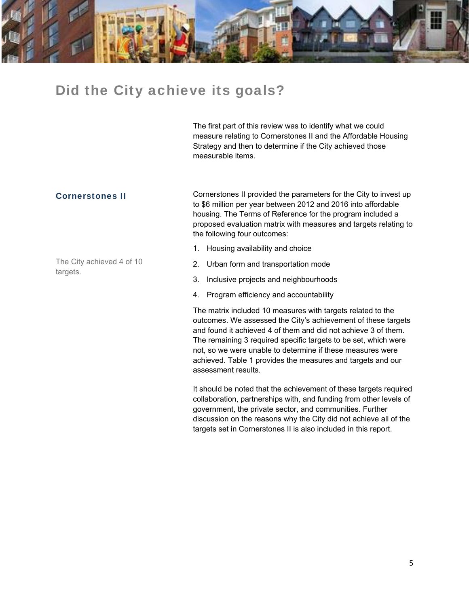

## Did the City achieve its goals?

The first part of this review was to identify what we could measure relating to Cornerstones II and the Affordable Housing Strategy and then to determine if the City achieved those measurable items.

#### Cornerstones II

The City achieved 4 of 10 targets.

Cornerstones II provided the parameters for the City to invest up to \$6 million per year between 2012 and 2016 into affordable housing. The Terms of Reference for the program included a proposed evaluation matrix with measures and targets relating to the following four outcomes:

- 1. Housing availability and choice
- 2. Urban form and transportation mode
- 3. Inclusive projects and neighbourhoods
- 4. Program efficiency and accountability

The matrix included 10 measures with targets related to the outcomes. We assessed the City's achievement of these targets and found it achieved 4 of them and did not achieve 3 of them. The remaining 3 required specific targets to be set, which were not, so we were unable to determine if these measures were achieved. Table 1 provides the measures and targets and our assessment results.

It should be noted that the achievement of these targets required collaboration, partnerships with, and funding from other levels of government, the private sector, and communities. Further discussion on the reasons why the City did not achieve all of the targets set in Cornerstones II is also included in this report.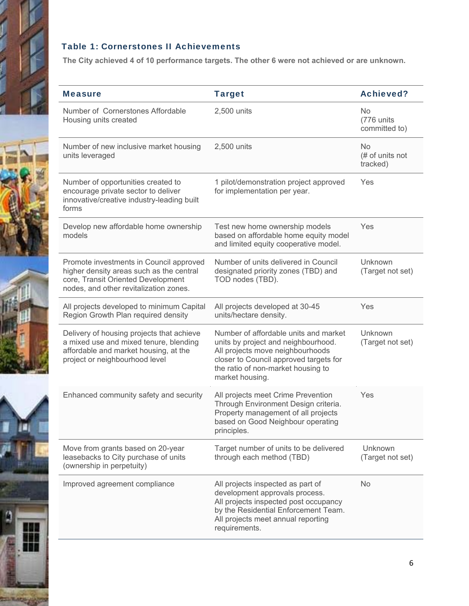

Ш

#### Table 1: Cornerstones II Achievements

**The City achieved 4 of 10 performance targets. The other 6 were not achieved or are unknown.** 

| <b>Measure</b>                                                                                                                                                      | <b>Target</b>                                                                                                                                                                                                       | <b>Achieved?</b>                         |
|---------------------------------------------------------------------------------------------------------------------------------------------------------------------|---------------------------------------------------------------------------------------------------------------------------------------------------------------------------------------------------------------------|------------------------------------------|
| Number of Cornerstones Affordable<br>Housing units created                                                                                                          | 2,500 units                                                                                                                                                                                                         | No.<br>(776 units<br>committed to)       |
| Number of new inclusive market housing<br>units leveraged                                                                                                           | 2,500 units                                                                                                                                                                                                         | <b>No</b><br>(# of units not<br>tracked) |
| Number of opportunities created to<br>encourage private sector to deliver<br>innovative/creative industry-leading built<br>forms                                    | 1 pilot/demonstration project approved<br>for implementation per year.                                                                                                                                              | Yes                                      |
| Develop new affordable home ownership<br>models                                                                                                                     | Test new home ownership models<br>based on affordable home equity model<br>and limited equity cooperative model.                                                                                                    | Yes                                      |
| Promote investments in Council approved<br>higher density areas such as the central<br>core, Transit Oriented Development<br>nodes, and other revitalization zones. | Number of units delivered in Council<br>designated priority zones (TBD) and<br>TOD nodes (TBD).                                                                                                                     | Unknown<br>(Target not set)              |
| All projects developed to minimum Capital<br>Region Growth Plan required density                                                                                    | All projects developed at 30-45<br>units/hectare density.                                                                                                                                                           | Yes                                      |
| Delivery of housing projects that achieve<br>a mixed use and mixed tenure, blending<br>affordable and market housing, at the<br>project or neighbourhood level      | Number of affordable units and market<br>units by project and neighbourhood.<br>All projects move neighbourhoods<br>closer to Council approved targets for<br>the ratio of non-market housing to<br>market housing. | Unknown<br>(Target not set)              |
| Enhanced community safety and security                                                                                                                              | All projects meet Crime Prevention<br>Through Environment Design criteria.<br>Property management of all projects<br>based on Good Neighbour operating<br>principles.                                               | Yes                                      |
| Move from grants based on 20-year<br>leasebacks to City purchase of units<br>(ownership in perpetuity)                                                              | Target number of units to be delivered<br>through each method (TBD)                                                                                                                                                 | Unknown<br>(Target not set)              |
| Improved agreement compliance                                                                                                                                       | All projects inspected as part of<br>development approvals process.<br>All projects inspected post occupancy<br>by the Residential Enforcement Team.<br>All projects meet annual reporting<br>requirements.         | <b>No</b>                                |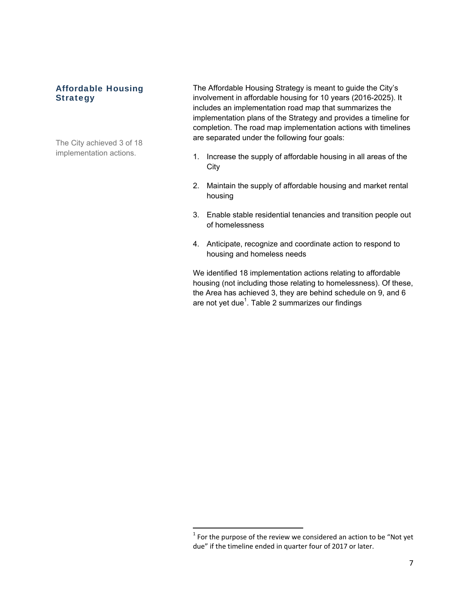#### Affordable Housing Strategy

The City achieved 3 of 18 implementation actions.

The Affordable Housing Strategy is meant to guide the City's involvement in affordable housing for 10 years (2016-2025). It includes an implementation road map that summarizes the implementation plans of the Strategy and provides a timeline for completion. The road map implementation actions with timelines are separated under the following four goals:

- 1. Increase the supply of affordable housing in all areas of the **City**
- 2. Maintain the supply of affordable housing and market rental housing
- 3. Enable stable residential tenancies and transition people out of homelessness
- 4. Anticipate, recognize and coordinate action to respond to housing and homeless needs

We identified 18 implementation actions relating to affordable housing (not including those relating to homelessness). Of these, the Area has achieved 3, they are behind schedule on 9, and 6 are not yet due $^{\rm 1}$ . Table 2 summarizes our findings

 $\frac{1}{1}$  For the purpose of the review we considered an action to be "Not yet  $\frac{1}{1}$ due" if the timeline ended in quarter four of 2017 or later.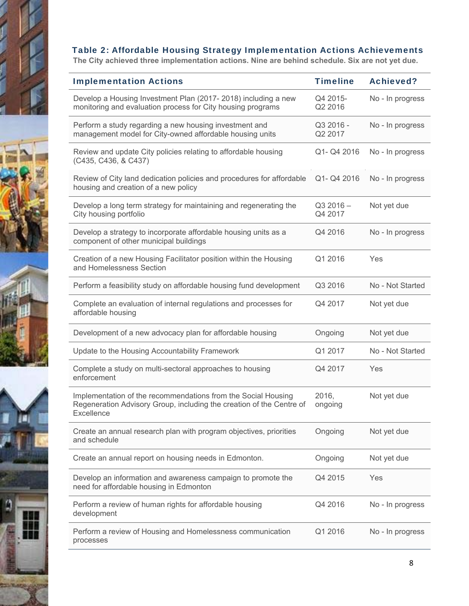

**The City achieved three implementation actions. Nine are behind schedule. Six are not yet due.** 

| <b>Implementation Actions</b>                                                                                                                       | <b>Timeline</b>       | <b>Achieved?</b> |
|-----------------------------------------------------------------------------------------------------------------------------------------------------|-----------------------|------------------|
| Develop a Housing Investment Plan (2017-2018) including a new<br>monitoring and evaluation process for City housing programs                        | Q4 2015-<br>Q2 2016   | No - In progress |
| Perform a study regarding a new housing investment and<br>management model for City-owned affordable housing units                                  | Q3 2016 -<br>Q2 2017  | No - In progress |
| Review and update City policies relating to affordable housing<br>(C435, C436, & C437)                                                              | Q1- Q4 2016           | No - In progress |
| Review of City land dedication policies and procedures for affordable<br>housing and creation of a new policy                                       | Q1- Q4 2016           | No - In progress |
| Develop a long term strategy for maintaining and regenerating the<br>City housing portfolio                                                         | $Q32016 -$<br>Q4 2017 | Not yet due      |
| Develop a strategy to incorporate affordable housing units as a<br>component of other municipal buildings                                           | Q4 2016               | No - In progress |
| Creation of a new Housing Facilitator position within the Housing<br>and Homelessness Section                                                       | Q1 2016               | Yes              |
| Perform a feasibility study on affordable housing fund development                                                                                  | Q3 2016               | No - Not Started |
| Complete an evaluation of internal regulations and processes for<br>affordable housing                                                              | Q4 2017               | Not yet due      |
| Development of a new advocacy plan for affordable housing                                                                                           | Ongoing               | Not yet due      |
| Update to the Housing Accountability Framework                                                                                                      | Q1 2017               | No - Not Started |
| Complete a study on multi-sectoral approaches to housing<br>enforcement                                                                             | Q4 2017               | Yes              |
| Implementation of the recommendations from the Social Housing<br>Regeneration Advisory Group, including the creation of the Centre of<br>Excellence | 2016,<br>ongoing      | Not yet due      |
| Create an annual research plan with program objectives, priorities<br>and schedule                                                                  | Ongoing               | Not yet due      |
| Create an annual report on housing needs in Edmonton.                                                                                               | Ongoing               | Not yet due      |
| Develop an information and awareness campaign to promote the<br>need for affordable housing in Edmonton                                             | Q4 2015               | Yes              |
| Perform a review of human rights for affordable housing<br>development                                                                              | Q4 2016               | No - In progress |
| Perform a review of Housing and Homelessness communication<br>processes                                                                             | Q1 2016               | No - In progress |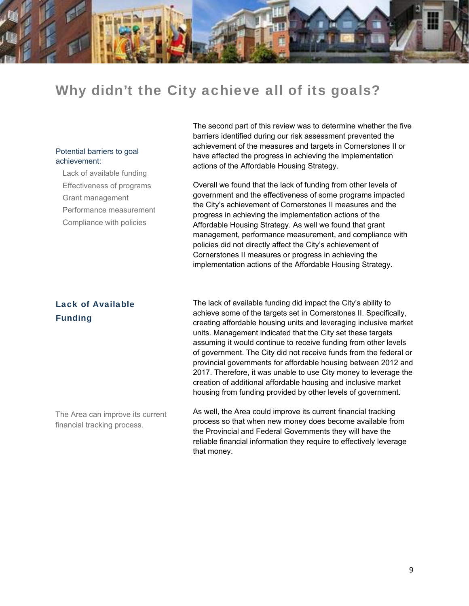

## Why didn't the City achieve all of its goals?

#### Potential barriers to goal achievement:

Lack of available funding Effectiveness of programs Grant management Performance measurement Compliance with policies

The second part of this review was to determine whether the five barriers identified during our risk assessment prevented the achievement of the measures and targets in Cornerstones II or have affected the progress in achieving the implementation actions of the Affordable Housing Strategy.

Overall we found that the lack of funding from other levels of government and the effectiveness of some programs impacted the City's achievement of Cornerstones II measures and the progress in achieving the implementation actions of the Affordable Housing Strategy. As well we found that grant management, performance measurement, and compliance with policies did not directly affect the City's achievement of Cornerstones II measures or progress in achieving the implementation actions of the Affordable Housing Strategy.

#### Lack of Available Funding

The lack of available funding did impact the City's ability to achieve some of the targets set in Cornerstones II. Specifically, creating affordable housing units and leveraging inclusive market units. Management indicated that the City set these targets assuming it would continue to receive funding from other levels of government. The City did not receive funds from the federal or provincial governments for affordable housing between 2012 and 2017. Therefore, it was unable to use City money to leverage the creation of additional affordable housing and inclusive market housing from funding provided by other levels of government.

The Area can improve its current financial tracking process.

As well, the Area could improve its current financial tracking process so that when new money does become available from the Provincial and Federal Governments they will have the reliable financial information they require to effectively leverage that money.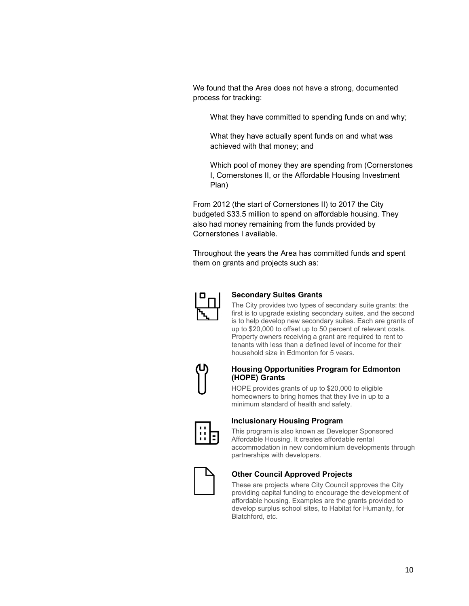We found that the Area does not have a strong, documented process for tracking:

What they have committed to spending funds on and why;

What they have actually spent funds on and what was achieved with that money; and

Which pool of money they are spending from (Cornerstones I, Cornerstones II, or the Affordable Housing Investment Plan)

From 2012 (the start of Cornerstones II) to 2017 the City budgeted \$33.5 million to spend on affordable housing. They also had money remaining from the funds provided by Cornerstones I available.

Throughout the years the Area has committed funds and spent them on grants and projects such as:



#### **Secondary Suites Grants**

The City provides two types of secondary suite grants: the first is to upgrade existing secondary suites, and the second is to help develop new secondary suites. Each are grants of up to \$20,000 to offset up to 50 percent of relevant costs. Property owners receiving a grant are required to rent to tenants with less than a defined level of income for their household size in Edmonton for 5 years.



#### **Housing Opportunities Program for Edmonton (HOPE) Grants**

HOPE provides grants of up to \$20,000 to eligible homeowners to bring homes that they live in up to a minimum standard of health and safety.



#### **Inclusionary Housing Program**

This program is also known as Developer Sponsored Affordable Housing. It creates affordable rental accommodation in new condominium developments through partnerships with developers.



#### **Other Council Approved Projects**

These are projects where City Council approves the City providing capital funding to encourage the development of affordable housing. Examples are the grants provided to develop surplus school sites, to Habitat for Humanity, for Blatchford, etc.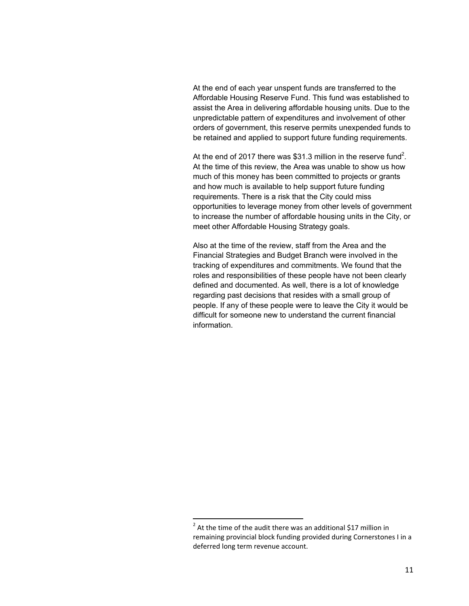At the end of each year unspent funds are transferred to the Affordable Housing Reserve Fund. This fund was established to assist the Area in delivering affordable housing units. Due to the unpredictable pattern of expenditures and involvement of other orders of government, this reserve permits unexpended funds to be retained and applied to support future funding requirements.

At the end of 2017 there was \$31.3 million in the reserve fund<sup>2</sup>. At the time of this review, the Area was unable to show us how much of this money has been committed to projects or grants and how much is available to help support future funding requirements. There is a risk that the City could miss opportunities to leverage money from other levels of government to increase the number of affordable housing units in the City, or meet other Affordable Housing Strategy goals.

Also at the time of the review, staff from the Area and the Financial Strategies and Budget Branch were involved in the tracking of expenditures and commitments. We found that the roles and responsibilities of these people have not been clearly defined and documented. As well, there is a lot of knowledge regarding past decisions that resides with a small group of people. If any of these people were to leave the City it would be difficult for someone new to understand the current financial information.

 $2$  At the time of the audit there was an additional \$17 million in remaining provincial block funding provided during Cornerstones I in a deferred long term revenue account.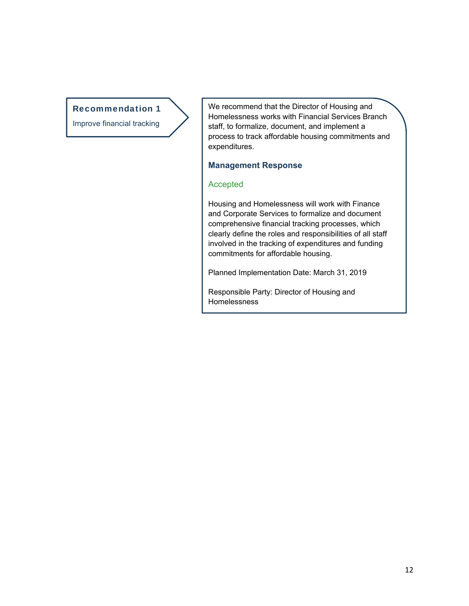#### Recommendation 1

Improve financial tracking

We recommend that the Director of Housing and Homelessness works with Financial Services Branch staff, to formalize, document, and implement a process to track affordable housing commitments and expenditures.

#### **Management Response**

#### Accepted

Housing and Homelessness will work with Finance and Corporate Services to formalize and document comprehensive financial tracking processes, which clearly define the roles and responsibilities of all staff involved in the tracking of expenditures and funding commitments for affordable housing.

Planned Implementation Date: March 31, 2019

Responsible Party: Director of Housing and Homelessness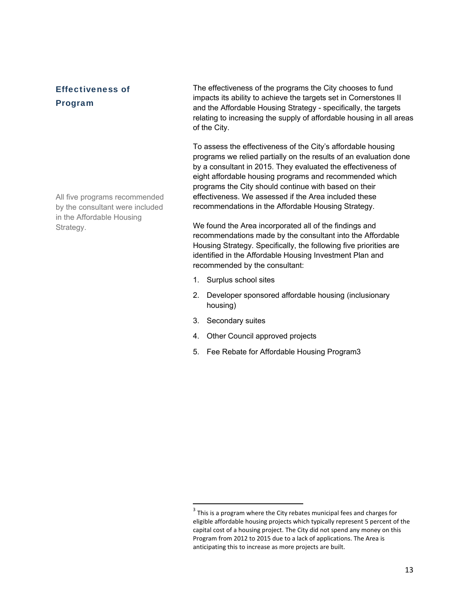Effectiveness of Program

The effectiveness of the programs the City chooses to fund impacts its ability to achieve the targets set in Cornerstones II and the Affordable Housing Strategy - specifically, the targets relating to increasing the supply of affordable housing in all areas of the City.

To assess the effectiveness of the City's affordable housing programs we relied partially on the results of an evaluation done by a consultant in 2015. They evaluated the effectiveness of eight affordable housing programs and recommended which programs the City should continue with based on their effectiveness. We assessed if the Area included these recommendations in the Affordable Housing Strategy.

We found the Area incorporated all of the findings and recommendations made by the consultant into the Affordable Housing Strategy. Specifically, the following five priorities are identified in the Affordable Housing Investment Plan and recommended by the consultant:

- 1. Surplus school sites
- 2. Developer sponsored affordable housing (inclusionary housing)
- 3. Secondary suites
- 4. Other Council approved projects

5. Fee Rebate for Affordable Housing Program3

All five programs recommended by the consultant were included in the Affordable Housing Strategy.

 $3$  This is a program where the City rebates municipal fees and charges for eligible affordable housing projects which typically represent 5 percent of the capital cost of a housing project. The City did not spend any money on this Program from 2012 to 2015 due to a lack of applications. The Area is anticipating this to increase as more projects are built.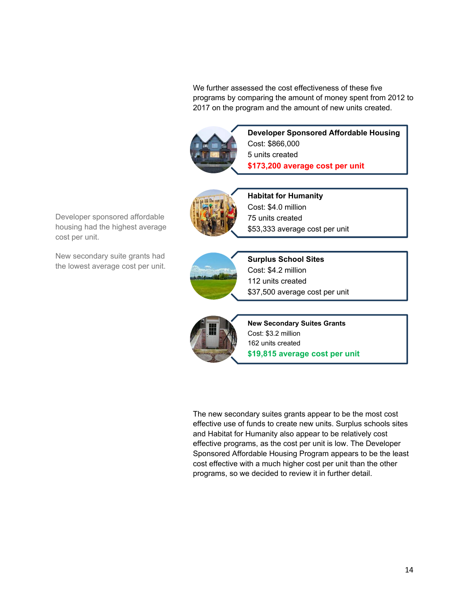We further assessed the cost effectiveness of these five programs by comparing the amount of money spent from 2012 to 2017 on the program and the amount of new units created.



**Developer Sponsored Affordable Housing** Cost: \$866,000 5 units created **\$173,200 average cost per unit**



**Habitat for Humanity** Cost: \$4.0 million 75 units created \$53,333 average cost per unit



**Surplus School Sites** Cost: \$4.2 million

112 units created \$37,500 average cost per unit



**New Secondary Suites Grants** Cost: \$3.2 million 162 units created **\$19,815 average cost per unit**

The new secondary suites grants appear to be the most cost effective use of funds to create new units. Surplus schools sites and Habitat for Humanity also appear to be relatively cost effective programs, as the cost per unit is low. The Developer Sponsored Affordable Housing Program appears to be the least cost effective with a much higher cost per unit than the other programs, so we decided to review it in further detail.

Developer sponsored affordable housing had the highest average cost per unit.

New secondary suite grants had the lowest average cost per unit.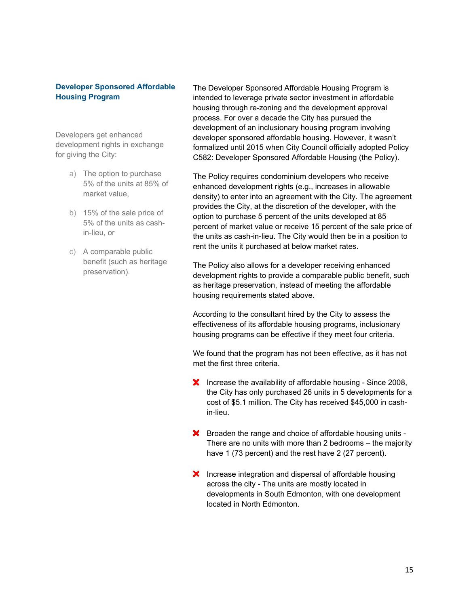#### **Developer Sponsored Affordable Housing Program**

Developers get enhanced development rights in exchange for giving the City:

- a) The option to purchase 5% of the units at 85% of market value,
- b) 15% of the sale price of 5% of the units as cashin-lieu, or
- c) A comparable public benefit (such as heritage preservation).

The Developer Sponsored Affordable Housing Program is intended to leverage private sector investment in affordable housing through re-zoning and the development approval process. For over a decade the City has pursued the development of an inclusionary housing program involving developer sponsored affordable housing. However, it wasn't formalized until 2015 when City Council officially adopted Policy C582: Developer Sponsored Affordable Housing (the Policy).

The Policy requires condominium developers who receive enhanced development rights (e.g., increases in allowable density) to enter into an agreement with the City. The agreement provides the City, at the discretion of the developer, with the option to purchase 5 percent of the units developed at 85 percent of market value or receive 15 percent of the sale price of the units as cash-in-lieu. The City would then be in a position to rent the units it purchased at below market rates.

The Policy also allows for a developer receiving enhanced development rights to provide a comparable public benefit, such as heritage preservation, instead of meeting the affordable housing requirements stated above.

According to the consultant hired by the City to assess the effectiveness of its affordable housing programs, inclusionary housing programs can be effective if they meet four criteria.

We found that the program has not been effective, as it has not met the first three criteria.

- **X** Increase the availability of affordable housing Since 2008, the City has only purchased 26 units in 5 developments for a cost of \$5.1 million. The City has received \$45,000 in cashin-lieu.
- **X** Broaden the range and choice of affordable housing units -There are no units with more than 2 bedrooms – the majority have 1 (73 percent) and the rest have 2 (27 percent).
- **X** Increase integration and dispersal of affordable housing across the city - The units are mostly located in developments in South Edmonton, with one development located in North Edmonton.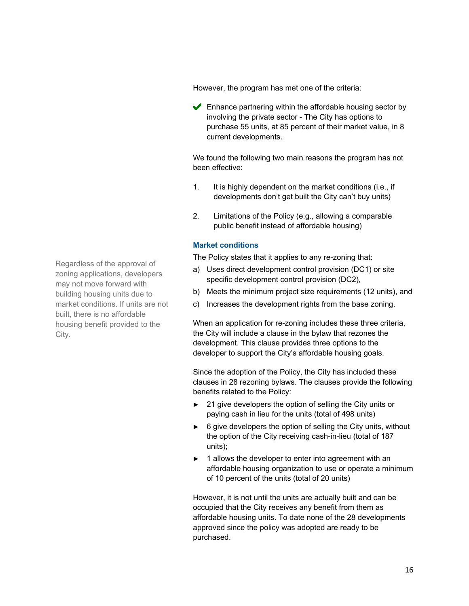However, the program has met one of the criteria:

 $\blacktriangleright$  Enhance partnering within the affordable housing sector by involving the private sector - The City has options to purchase 55 units, at 85 percent of their market value, in 8 current developments.

We found the following two main reasons the program has not been effective:

- 1. It is highly dependent on the market conditions (i.e., if developments don't get built the City can't buy units)
- 2. Limitations of the Policy (e.g., allowing a comparable public benefit instead of affordable housing)

#### **Market conditions**

The Policy states that it applies to any re-zoning that:

- a) Uses direct development control provision (DC1) or site specific development control provision (DC2),
- b) Meets the minimum project size requirements (12 units), and
- c) Increases the development rights from the base zoning.

When an application for re-zoning includes these three criteria, the City will include a clause in the bylaw that rezones the development. This clause provides three options to the developer to support the City's affordable housing goals.

Since the adoption of the Policy, the City has included these clauses in 28 rezoning bylaws. The clauses provide the following benefits related to the Policy:

- 21 give developers the option of selling the City units or paying cash in lieu for the units (total of 498 units)
- ► 6 give developers the option of selling the City units, without the option of the City receiving cash-in-lieu (total of 187 units);
- ► 1 allows the developer to enter into agreement with an affordable housing organization to use or operate a minimum of 10 percent of the units (total of 20 units)

However, it is not until the units are actually built and can be occupied that the City receives any benefit from them as affordable housing units. To date none of the 28 developments approved since the policy was adopted are ready to be purchased.

Regardless of the approval of zoning applications, developers may not move forward with building housing units due to market conditions. If units are not built, there is no affordable housing benefit provided to the City.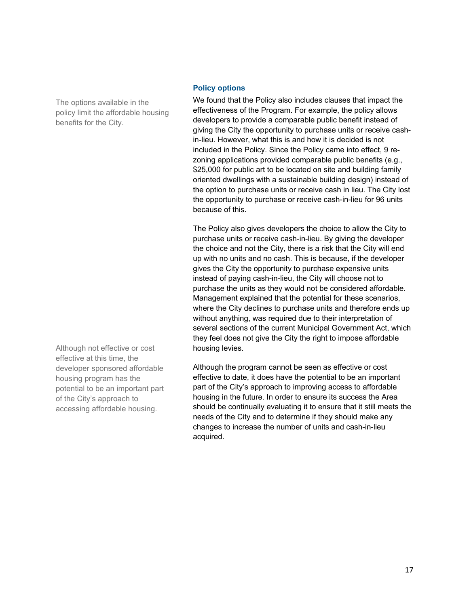The options available in the policy limit the affordable housing benefits for the City.

Although not effective or cost effective at this time, the developer sponsored affordable housing program has the potential to be an important part of the City's approach to accessing affordable housing.

#### **Policy options**

We found that the Policy also includes clauses that impact the effectiveness of the Program. For example, the policy allows developers to provide a comparable public benefit instead of giving the City the opportunity to purchase units or receive cashin-lieu. However, what this is and how it is decided is not included in the Policy. Since the Policy came into effect, 9 rezoning applications provided comparable public benefits (e.g., \$25,000 for public art to be located on site and building family oriented dwellings with a sustainable building design) instead of the option to purchase units or receive cash in lieu. The City lost the opportunity to purchase or receive cash-in-lieu for 96 units because of this.

The Policy also gives developers the choice to allow the City to purchase units or receive cash-in-lieu. By giving the developer the choice and not the City, there is a risk that the City will end up with no units and no cash. This is because, if the developer gives the City the opportunity to purchase expensive units instead of paying cash-in-lieu, the City will choose not to purchase the units as they would not be considered affordable. Management explained that the potential for these scenarios, where the City declines to purchase units and therefore ends up without anything, was required due to their interpretation of several sections of the current Municipal Government Act, which they feel does not give the City the right to impose affordable housing levies.

Although the program cannot be seen as effective or cost effective to date, it does have the potential to be an important part of the City's approach to improving access to affordable housing in the future. In order to ensure its success the Area should be continually evaluating it to ensure that it still meets the needs of the City and to determine if they should make any changes to increase the number of units and cash-in-lieu acquired.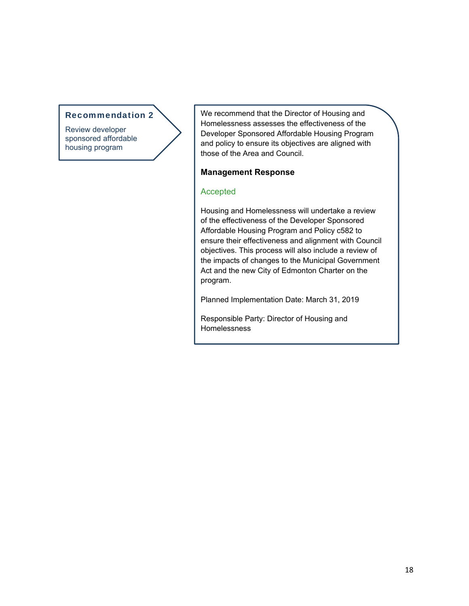#### Recommendation 2

Review developer sponsored affordable housing program

We recommend that the Director of Housing and Homelessness assesses the effectiveness of the Developer Sponsored Affordable Housing Program and policy to ensure its objectives are aligned with those of the Area and Council.

#### **Management Response**

#### Accepted

I

Housing and Homelessness will undertake a review of the effectiveness of the Developer Sponsored Affordable Housing Program and Policy c582 to ensure their effectiveness and alignment with Council objectives. This process will also include a review of the impacts of changes to the Municipal Government Act and the new City of Edmonton Charter on the program.

Planned Implementation Date: March 31, 2019

Responsible Party: Director of Housing and Homelessness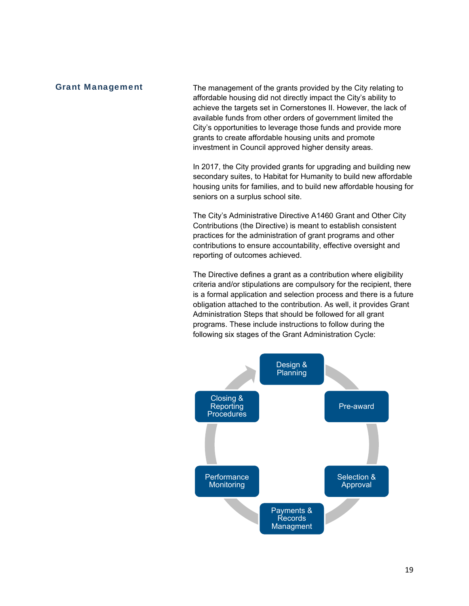#### Grant Management

The management of the grants provided by the City relating to affordable housing did not directly impact the City's ability to achieve the targets set in Cornerstones II. However, the lack of available funds from other orders of government limited the City's opportunities to leverage those funds and provide more grants to create affordable housing units and promote investment in Council approved higher density areas.

In 2017, the City provided grants for upgrading and building new secondary suites, to Habitat for Humanity to build new affordable housing units for families, and to build new affordable housing for seniors on a surplus school site.

The City's Administrative Directive A1460 Grant and Other City Contributions (the Directive) is meant to establish consistent practices for the administration of grant programs and other contributions to ensure accountability, effective oversight and reporting of outcomes achieved.

The Directive defines a grant as a contribution where eligibility criteria and/or stipulations are compulsory for the recipient, there is a formal application and selection process and there is a future obligation attached to the contribution. As well, it provides Grant Administration Steps that should be followed for all grant programs. These include instructions to follow during the following six stages of the Grant Administration Cycle:

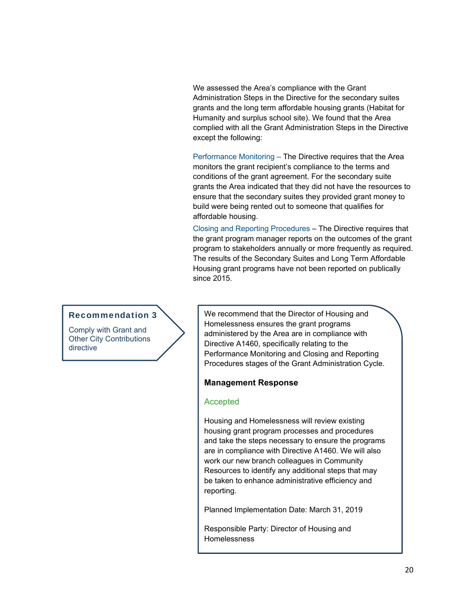We assessed the Area's compliance with the Grant Administration Steps in the Directive for the secondary suites grants and the long term affordable housing grants (Habitat for Humanity and surplus school site). We found that the Area complied with all the Grant Administration Steps in the Directive except the following:

Performance Monitoring – The Directive requires that the Area monitors the grant recipient's compliance to the terms and conditions of the grant agreement. For the secondary suite grants the Area indicated that they did not have the resources to ensure that the secondary suites they provided grant money to build were being rented out to someone that qualifies for affordable housing.

Closing and Reporting Procedures – The Directive requires that the grant program manager reports on the outcomes of the grant program to stakeholders annually or more frequently as required. The results of the Secondary Suites and Long Term Affordable Housing grant programs have not been reported on publically since 2015.

#### Recommendation 3

Comply with Grant and Other City Contributions directive

We recommend that the Director of Housing and Homelessness ensures the grant programs administered by the Area are in compliance with Directive A1460, specifically relating to the Performance Monitoring and Closing and Reporting Procedures stages of the Grant Administration Cycle.

#### **Management Response**

#### **Accepted**

Housing and Homelessness will review existing housing grant program processes and procedures and take the steps necessary to ensure the programs are in compliance with Directive A1460. We will also work our new branch colleagues in Community Resources to identify any additional steps that may be taken to enhance administrative efficiency and reporting.

Planned Implementation Date: March 31, 2019

Responsible Party: Director of Housing and Homelessness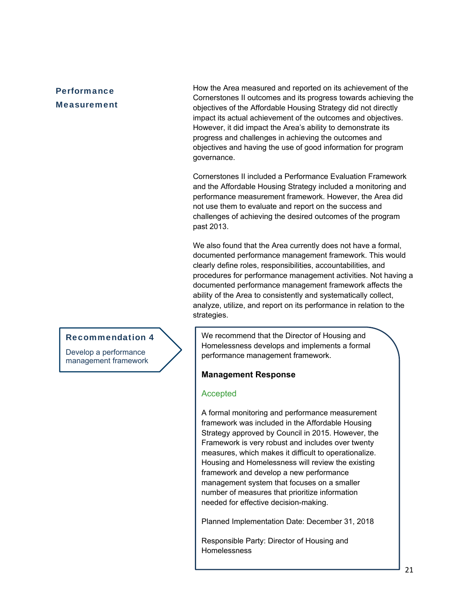#### **Performance Measurement**

How the Area measured and reported on its achievement of the Cornerstones II outcomes and its progress towards achieving the objectives of the Affordable Housing Strategy did not directly impact its actual achievement of the outcomes and objectives. However, it did impact the Area's ability to demonstrate its progress and challenges in achieving the outcomes and objectives and having the use of good information for program governance.

Cornerstones II included a Performance Evaluation Framework and the Affordable Housing Strategy included a monitoring and performance measurement framework. However, the Area did not use them to evaluate and report on the success and challenges of achieving the desired outcomes of the program past 2013.

We also found that the Area currently does not have a formal, documented performance management framework. This would clearly define roles, responsibilities, accountabilities, and procedures for performance management activities. Not having a documented performance management framework affects the ability of the Area to consistently and systematically collect, analyze, utilize, and report on its performance in relation to the strategies.

We recommend that the Director of Housing and Homelessness develops and implements a formal performance management framework.

#### **Management Response**

#### **Accepted**

A formal monitoring and performance measurement framework was included in the Affordable Housing Strategy approved by Council in 2015. However, the Framework is very robust and includes over twenty measures, which makes it difficult to operationalize. Housing and Homelessness will review the existing framework and develop a new performance management system that focuses on a smaller number of measures that prioritize information needed for effective decision-making.

Planned Implementation Date: December 31, 2018

Responsible Party: Director of Housing and Homelessness

#### Recommendation 4

Develop a performance management framework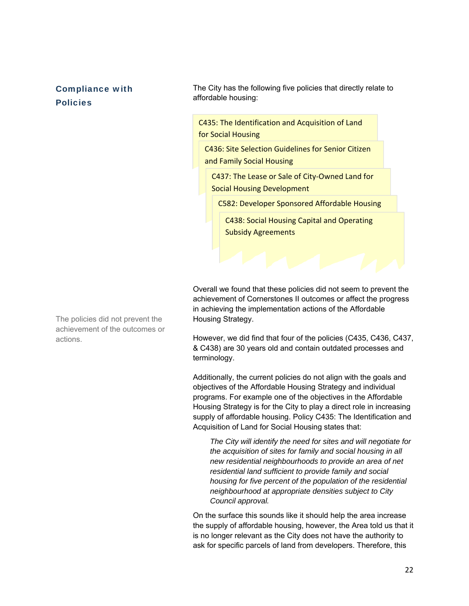#### Compliance with Policies

The City has the following five policies that directly relate to affordable housing:

C435: The Identification and Acquisition of Land for Social Housing

C436: Site Selection Guidelines for Senior Citizen and Family Social Housing

C437: The Lease or Sale of City‐Owned Land for Social Housing Development

C582: Developer Sponsored Affordable Housing

C438: Social Housing Capital and Operating Subsidy Agreements

Overall we found that these policies did not seem to prevent the achievement of Cornerstones II outcomes or affect the progress in achieving the implementation actions of the Affordable Housing Strategy.

However, we did find that four of the policies (C435, C436, C437, & C438) are 30 years old and contain outdated processes and terminology.

Additionally, the current policies do not align with the goals and objectives of the Affordable Housing Strategy and individual programs. For example one of the objectives in the Affordable Housing Strategy is for the City to play a direct role in increasing supply of affordable housing. Policy C435: The Identification and Acquisition of Land for Social Housing states that:

*The City will identify the need for sites and will negotiate for the acquisition of sites for family and social housing in all new residential neighbourhoods to provide an area of net residential land sufficient to provide family and social housing for five percent of the population of the residential neighbourhood at appropriate densities subject to City Council approval.* 

On the surface this sounds like it should help the area increase the supply of affordable housing, however, the Area told us that it is no longer relevant as the City does not have the authority to ask for specific parcels of land from developers. Therefore, this

The policies did not prevent the achievement of the outcomes or actions.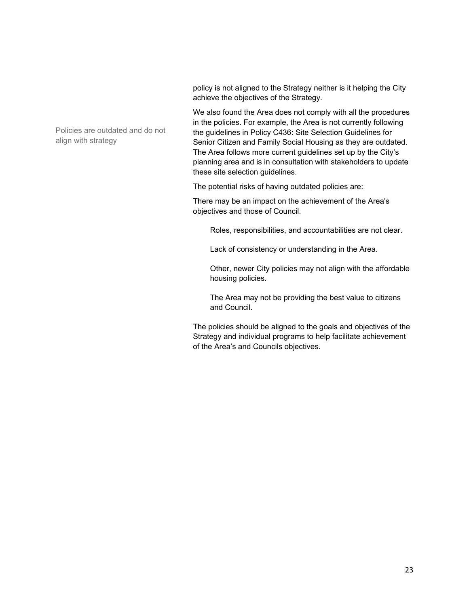policy is not aligned to the Strategy neither is it helping the City achieve the objectives of the Strategy.

We also found the Area does not comply with all the procedures in the policies. For example, the Area is not currently following the guidelines in Policy C436: Site Selection Guidelines for Senior Citizen and Family Social Housing as they are outdated. The Area follows more current guidelines set up by the City's planning area and is in consultation with stakeholders to update these site selection guidelines.

The potential risks of having outdated policies are:

There may be an impact on the achievement of the Area's objectives and those of Council.

Roles, responsibilities, and accountabilities are not clear.

Lack of consistency or understanding in the Area.

Other, newer City policies may not align with the affordable housing policies.

The Area may not be providing the best value to citizens and Council.

The policies should be aligned to the goals and objectives of the Strategy and individual programs to help facilitate achievement of the Area's and Councils objectives.

Policies are outdated and do not align with strategy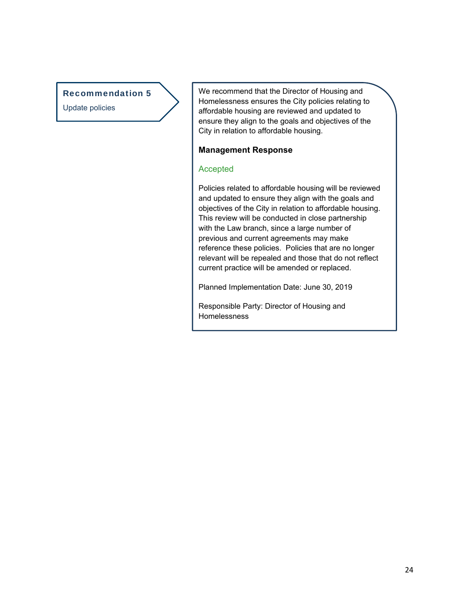#### Recommendation 5

Update policies

We recommend that the Director of Housing and Homelessness ensures the City policies relating to affordable housing are reviewed and updated to ensure they align to the goals and objectives of the City in relation to affordable housing.

#### **Management Response**

#### Accepted

Policies related to affordable housing will be reviewed and updated to ensure they align with the goals and objectives of the City in relation to affordable housing. This review will be conducted in close partnership with the Law branch, since a large number of previous and current agreements may make reference these policies. Policies that are no longer relevant will be repealed and those that do not reflect current practice will be amended or replaced.

Planned Implementation Date: June 30, 2019

Responsible Party: Director of Housing and Homelessness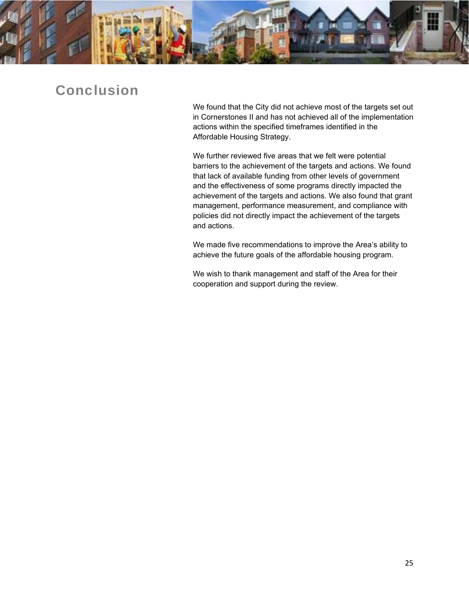

# Conclusion

We found that the City did not achieve most of the targets set out in Cornerstones II and has not achieved all of the implementation actions within the specified timeframes identified in the Affordable Housing Strategy.

We further reviewed five areas that we felt were potential barriers to the achievement of the targets and actions. We found that lack of available funding from other levels of government and the effectiveness of some programs directly impacted the achievement of the targets and actions. We also found that grant management, performance measurement, and compliance with policies did not directly impact the achievement of the targets and actions.

We made five recommendations to improve the Area's ability to achieve the future goals of the affordable housing program.

We wish to thank management and staff of the Area for their cooperation and support during the review.